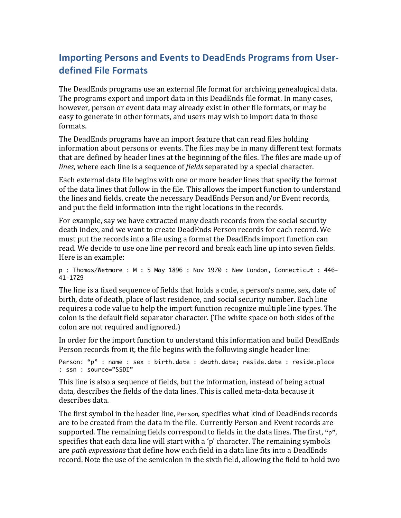## **Importing Persons and Events to DeadEnds Programs from Userdefined\*File\*Formats**

The DeadEnds programs use an external file format for archiving genealogical data. The programs export and import data in this DeadEnds file format. In many cases, however, person or event data may already exist in other file formats, or may be easy to generate in other formats, and users may wish to import data in those formats.

The DeadEnds programs have an import feature that can read files holding information about persons or events. The files may be in many different text formats that are defined by header lines at the beginning of the files. The files are made up of *lines*, where each line is a sequence of *fields* separated by a special character.

Each external data file begins with one or more header lines that specify the format of the data lines that follow in the file. This allows the import function to understand the lines and fields, create the necessary DeadEnds Person and/or Event records, and put the field information into the right locations in the records.

For example, say we have extracted many death records from the social security death index, and we want to create DeadEnds Person records for each record. We must put the records into a file using a format the DeadEnds import function can read. We decide to use one line per record and break each line up into seven fields. Here is an example:

```
p : Thomas/Wetmore : M : 5 May 1896 : Nov 1970 : New London, Connecticut : 446-
41-1729
```
The line is a fixed sequence of fields that holds a code, a person's name, sex, date of birth, date of death, place of last residence, and social security number. Each line requires a code value to help the import function recognize multiple line types. The colon is the default field separator character. (The white space on both sides of the colon are not required and ignored.)

In order for the import function to understand this information and build DeadEnds Person records from it, the file begins with the following single header line:

```
Person: "p" : name : sex : birth.date : death.date; reside.date : reside.place
: ssn : source="SSDI"
```
This line is also a sequence of fields, but the information, instead of being actual data, describes the fields of the data lines. This is called meta-data because it describes data.

The first symbol in the header line, Person, specifies what kind of DeadEnds records are to be created from the data in the file. Currently Person and Event records are supported. The remaining fields correspond to fields in the data lines. The first, " $p$ ", specifies that each data line will start with a 'p' character. The remaining symbols are *path expressions* that define how each field in a data line fits into a DeadEnds record. Note the use of the semicolon in the sixth field, allowing the field to hold two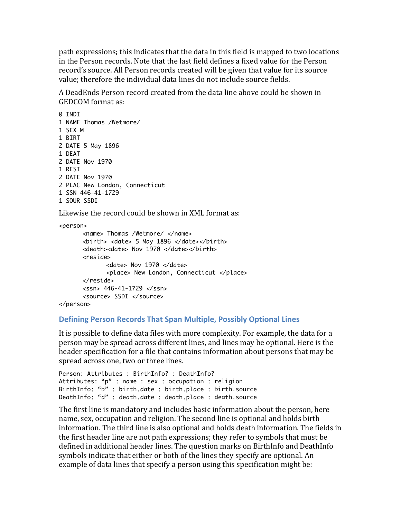path expressions; this indicates that the data in this field is mapped to two locations in the Person records. Note that the last field defines a fixed value for the Person record's source. All Person records created will be given that value for its source value; therefore the individual data lines do not include source fields.

A DeadEnds Person record created from the data line above could be shown in **GEDCOM** format as:

0 TNDT 1 NAME Thomas /Wetmore/ 1 SEX M 1 BIRT 2 DATE 5 May 1896 1 DEAT 2 DATE Nov 1970 1 RESI 2 DATE Nov 1970 2 PLAC New London, Connecticut 1 SSN 446-41-1729 1 SOUR SSDT

Likewise the record could be shown in XML format as:

```
<person>
      <name> Thomas /Wetmore/ </name>
      <birth> <date> 5 May 1896 </date></birth>
      <death><date> Nov 1970 </date></birth>
      <reside>
             <date> Nov 1970 </date>
             <place> New London, Connecticut </place>
      \langlereside>
      <ssn> 446-41-1729 </ssn>
      <source> SSDI </source>
</person>
```
## **Defining Person Records That Span Multiple, Possibly Optional Lines**

It is possible to define data files with more complexity. For example, the data for a person may be spread across different lines, and lines may be optional. Here is the header specification for a file that contains information about persons that may be spread across one, two or three lines.

```
Person: Attributes : BirthInfo? : DeathInfo?
Attributes: "p" : name : sex : occupation : religion
BirthInfo: "b" : birth.date : birth.place : birth.source
DeathInfo: "d" : death.date : death.place : death.source
```
The first line is mandatory and includes basic information about the person, here name, sex, occupation and religion. The second line is optional and holds birth information. The third line is also optional and holds death information. The fields in the first header line are not path expressions; they refer to symbols that must be defined in additional header lines. The question marks on BirthInfo and DeathInfo symbols indicate that either or both of the lines they specify are optional. An example of data lines that specify a person using this specification might be: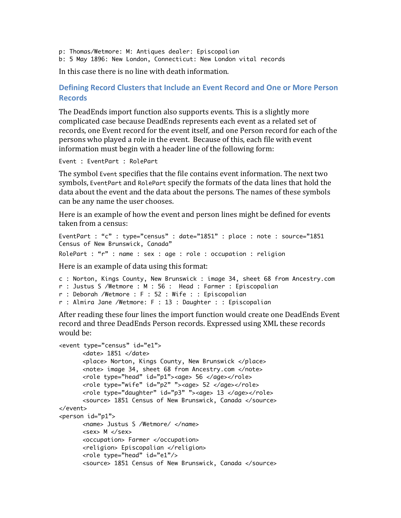- p: Thomas/Wetmore: M: Antiques dealer: Episcopalian
- b: 5 May 1896: New London, Connecticut: New London vital records

In this case there is no line with death information.

## **Defining Record Clusters that Include an Event Record and One or More Person Records**

The DeadEnds import function also supports events. This is a slightly more complicated case because DeadEnds represents each event as a related set of records, one Event record for the event itself, and one Person record for each of the persons who played a role in the event. Because of this, each file with event information must begin with a header line of the following form:

Event : EventPart : RolePart

The symbol Event specifies that the file contains event information. The next two symbols, EventPart and RolePart specify the formats of the data lines that hold the data about the event and the data about the persons. The names of these symbols can be any name the user chooses.

Here is an example of how the event and person lines might be defined for events taken from a census:

```
EventPart : "c" : type="census" : date="1851" : place : note : source="1851 
Census of New Brunswick, Canada"
```
RolePart : "r" : name : sex : age : role : occupation : religion

Here is an example of data using this format:

```
c : Norton, Kings County, New Brunswick : image 34, sheet 68 from Ancestry.com
r : Justus S /Wetmore : M : 56 : Head : Farmer : Episcopalian
r : Deborah /Wetmore : F : 52 : Wife : : Episcopalian
r : Almira Jane /Wetmore: F : 13 : Daughter : : Episcopalian
```
After reading these four lines the import function would create one DeadEnds Event record and three DeadEnds Person records. Expressed using XML these records would be:

```
<event type="census" id="e1">
      <date> 1851 </date>
      <place> Norton, Kings County, New Brunswick </place>
      <note> image 34, sheet 68 from Ancestry.com </note>
      <role type="head" id="p1"><age> 56 </age></role>
      <role type="wife" id="p2" "><age> 52 </age></role>
      <role type="daughter" id="p3" "><age> 13 </age></role>
      <source> 1851 Census of New Brunswick, Canada </source>
</event>
<person id="p1">
      <name> Justus S /Wetmore/ </name>
      <sex> M </sex>
      <occupation> Farmer </occupation>
      <religion> Episcopalian </religion>
      <role type="head" id="e1"/>
      <source> 1851 Census of New Brunswick, Canada </source>
```